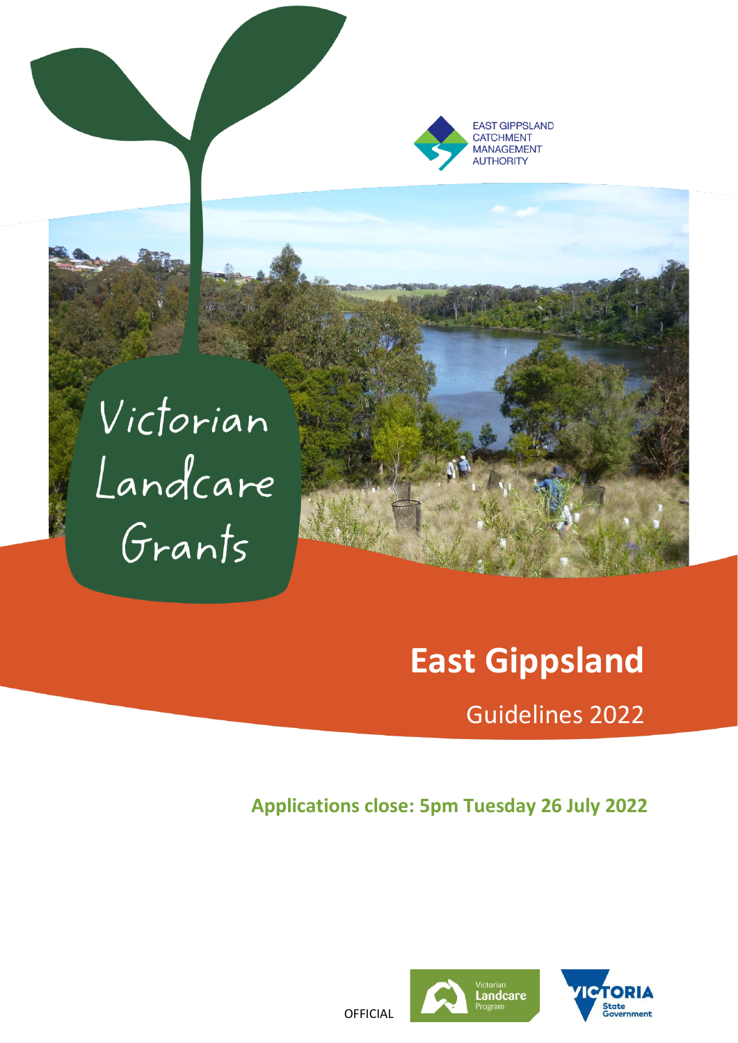

# Victorian<br>Landcare<br>Grants

# **East Gippsland**

Guidelines 2022

# **Applications close: 5pm Tuesday 26 July 2022**





**OFFICIAL**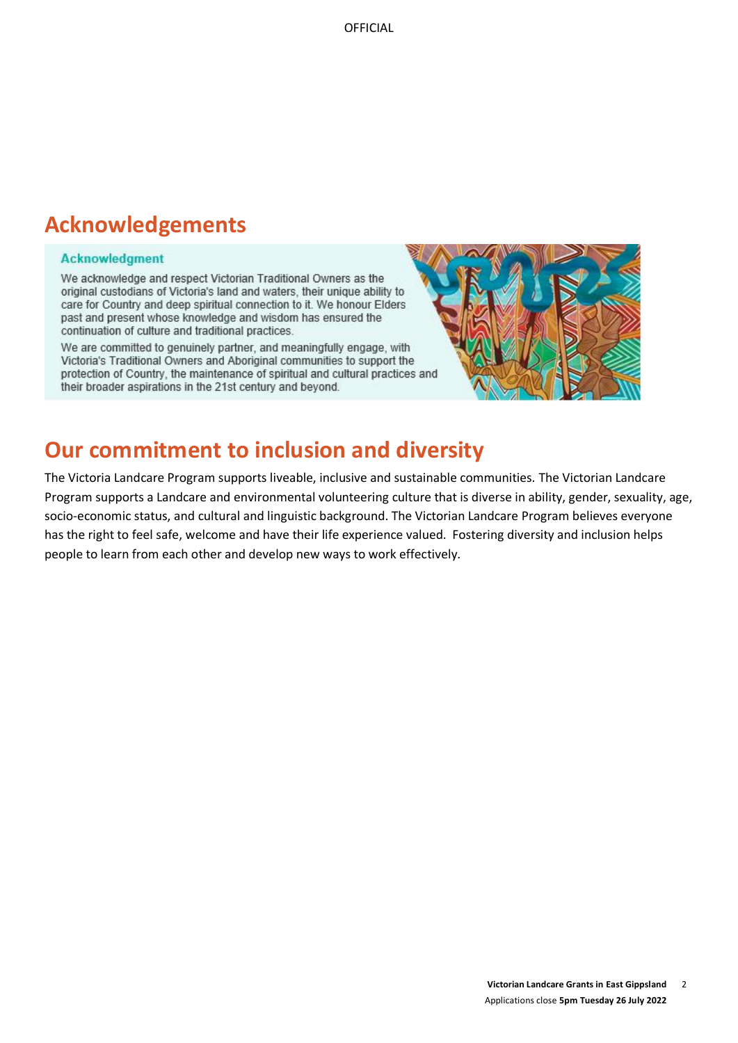# **Acknowledgements**

#### **Acknowledgment**

We acknowledge and respect Victorian Traditional Owners as the original custodians of Victoria's land and waters, their unique ability to care for Country and deep spiritual connection to it. We honour Elders past and present whose knowledge and wisdom has ensured the continuation of culture and traditional practices.

We are committed to genuinely partner, and meaningfully engage, with Victoria's Traditional Owners and Aboriginal communities to support the protection of Country, the maintenance of spiritual and cultural practices and their broader aspirations in the 21st century and beyond.



# **Our commitment to inclusion and diversity**

The Victoria Landcare Program supports liveable, inclusive and sustainable communities. The Victorian Landcare Program supports a Landcare and environmental volunteering culture that is diverse in ability, gender, sexuality, age, socio-economic status, and cultural and linguistic background. The Victorian Landcare Program believes everyone has the right to feel safe, welcome and have their life experience valued. Fostering diversity and inclusion helps people to learn from each other and develop new ways to work effectively.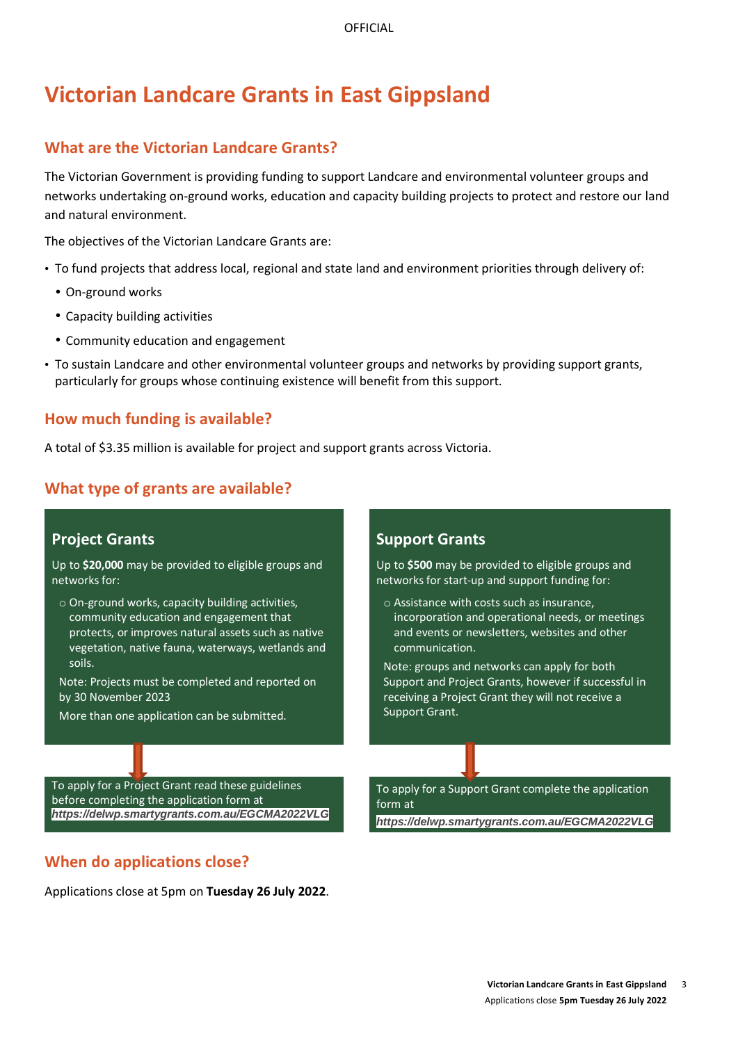# **Victorian Landcare Grants in East Gippsland**

### **What are the Victorian Landcare Grants?**

The Victorian Government is providing funding to support Landcare and environmental volunteer groups and networks undertaking on-ground works, education and capacity building projects to protect and restore our land and natural environment.

The objectives of the Victorian Landcare Grants are:

- To fund projects that address local, regional and state land and environment priorities through delivery of:
	- On-ground works
	- Capacity building activities
	- Community education and engagement
- To sustain Landcare and other environmental volunteer groups and networks by providing support grants, particularly for groups whose continuing existence will benefit from this support.

#### **How much funding is available?**

A total of \$3.35 million is available for project and support grants across Victoria.

## **What type of grants are available?**

#### **Project Grants**

Up to **\$20,000** may be provided to eligible groups and networks for:

o On-ground works, capacity building activities, community education and engagement that protects, or improves natural assets such as native vegetation, native fauna, waterways, wetlands and soils.

Note: Projects must be completed and reported on by 30 November 2023

More than one application can be submitted.

#### To apply for a Project Grant read these guidelines before completing the application form at *https://delwp.smartygrants.com.au/EGCMA2022VLG*

## **When do applications close?**

Applications close at 5pm on **Tuesday 26 July 2022**.

#### **Support Grants**

Up to **\$500** may be provided to eligible groups and networks for start-up and support funding for:

o Assistance with costs such as insurance, incorporation and operational needs, or meetings and events or newsletters, websites and other communication.

Note: groups and networks can apply for both Support and Project Grants, however if successful in receiving a Project Grant they will not receive a Support Grant.

To apply for a Support Grant complete the application form at

*https://delwp.smartygrants.com.au/EGCMA2022VLG*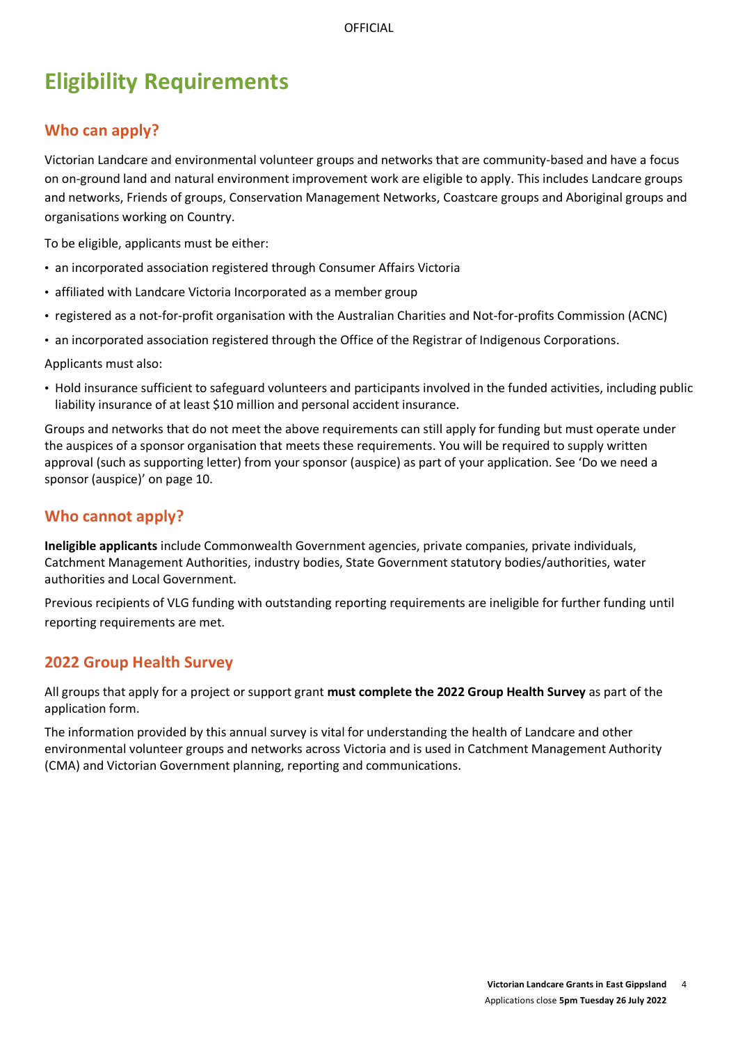# **Eligibility Requirements**

## **Who can apply?**

Victorian Landcare and environmental volunteer groups and networks that are community-based and have a focus on on-ground land and natural environment improvement work are eligible to apply. This includes Landcare groups and networks, Friends of groups, Conservation Management Networks, Coastcare groups and Aboriginal groups and organisations working on Country.

To be eligible, applicants must be either:

- an incorporated association registered through Consumer Affairs Victoria
- affiliated with Landcare Victoria Incorporated as a member group
- registered as a not-for-profit organisation with the Australian Charities and Not-for-profits Commission (ACNC)
- an incorporated association registered through the [Office of the Registrar of Indigenous Corporations.](https://www.oric.gov.au/start-corporation/registration-options)

Applicants must also:

• Hold insurance sufficient to safeguard volunteers and participants involved in the funded activities, including public liability insurance of at least \$10 million and personal accident insurance.

Groups and networks that do not meet the above requirements can still apply for funding but must operate under the auspices of a sponsor organisation that meets these requirements. You will be required to supply written approval (such as supporting letter) from your sponsor (auspice) as part of your application. See 'Do we need a sponsor (auspice)' on page 10.

#### **Who cannot apply?**

**Ineligible applicants** include Commonwealth Government agencies, private companies, private individuals, Catchment Management Authorities, industry bodies, State Government statutory bodies/authorities, water authorities and Local Government.

Previous recipients of VLG funding with outstanding reporting requirements are ineligible for further funding until reporting requirements are met.

#### **2022 Group Health Survey**

All groups that apply for a project or support grant **must complete the 2022 Group Health Survey** as part of the application form.

The information provided by this annual survey is vital for understanding the health of Landcare and other environmental volunteer groups and networks across Victoria and is used in Catchment Management Authority (CMA) and Victorian Government planning, reporting and communications.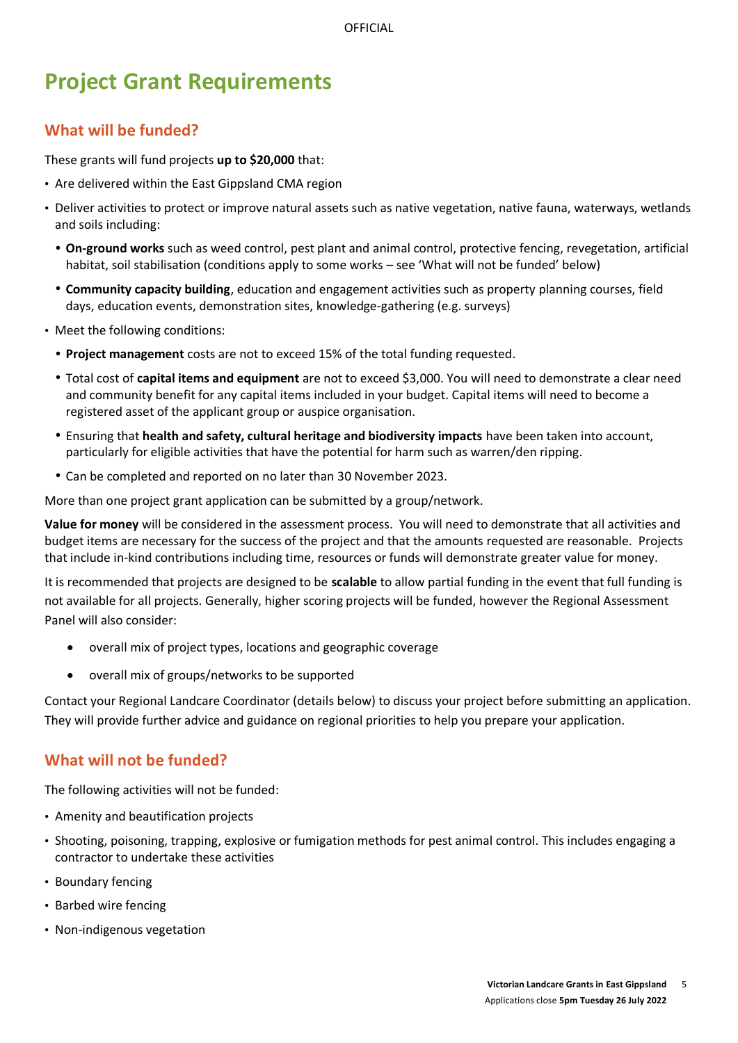# **Project Grant Requirements**

# **What will be funded?**

These grants will fund projects **up to \$20,000** that:

- Are delivered within the East Gippsland CMA region
- Deliver activities to protect or improve natural assets such as native vegetation, native fauna, waterways, wetlands and soils including:
	- **On-ground works** such as weed control, pest plant and animal control, protective fencing, revegetation, artificial habitat, soil stabilisation (conditions apply to some works – see 'What will not be funded' below)
	- **Community capacity building**, education and engagement activities such as property planning courses, field days, education events, demonstration sites, knowledge-gathering (e.g. surveys)
- Meet the following conditions:
	- **Project management** costs are not to exceed 15% of the total funding requested.
	- Total cost of **capital items and equipment** are not to exceed \$3,000. You will need to demonstrate a clear need and community benefit for any capital items included in your budget. Capital items will need to become a registered asset of the applicant group or auspice organisation.
	- Ensuring that **health and safety, cultural heritage and biodiversity impacts** have been taken into account, particularly for eligible activities that have the potential for harm such as warren/den ripping.
	- Can be completed and reported on no later than 30 November 2023.

More than one project grant application can be submitted by a group/network.

**Value for money** will be considered in the assessment process. You will need to demonstrate that all activities and budget items are necessary for the success of the project and that the amounts requested are reasonable. Projects that include in-kind contributions including time, resources or funds will demonstrate greater value for money.

It is recommended that projects are designed to be **scalable** to allow partial funding in the event that full funding is not available for all projects. Generally, higher scoring projects will be funded, however the Regional Assessment Panel will also consider:

- overall mix of project types, locations and geographic coverage
- overall mix of groups/networks to be supported

Contact your Regional Landcare Coordinator (details below) to discuss your project before submitting an application. They will provide further advice and guidance on regional priorities to help you prepare your application.

#### **What will not be funded?**

The following activities will not be funded:

- Amenity and beautification projects
- Shooting, poisoning, trapping, explosive or fumigation methods for pest animal control. This includes engaging a contractor to undertake these activities
- Boundary fencing
- Barbed wire fencing
- Non-indigenous vegetation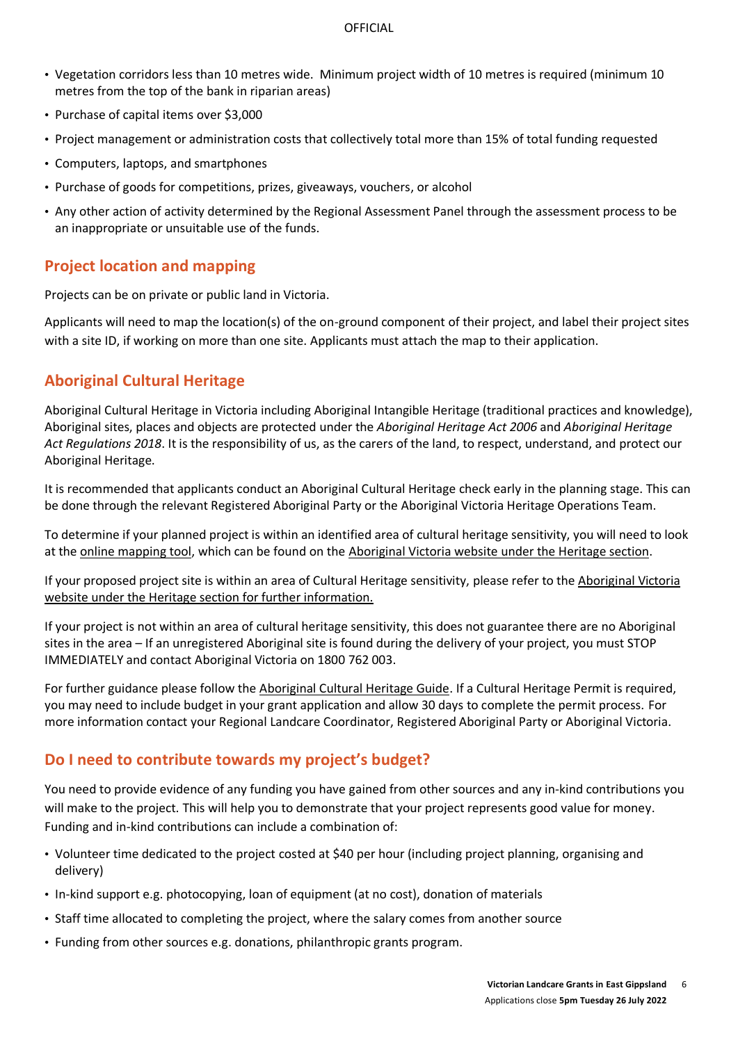- Vegetation corridors less than 10 metres wide. Minimum project width of 10 metres is required (minimum 10 metres from the top of the bank in riparian areas)
- Purchase of capital items over \$3,000
- Project management or administration costs that collectively total more than 15% of total funding requested
- Computers, laptops, and smartphones
- Purchase of goods for competitions, prizes, giveaways, vouchers, or alcohol
- Any other action of activity determined by the Regional Assessment Panel through the assessment process to be an inappropriate or unsuitable use of the funds.

### **Project location and mapping**

Projects can be on private or public land in Victoria.

Applicants will need to map the location(s) of the on-ground component of their project, and label their project sites with a site ID, if working on more than one site. Applicants must attach the map to their application.

## **Aboriginal Cultural Heritage**

Aboriginal Cultural Heritage in Victoria including Aboriginal Intangible Heritage (traditional practices and knowledge), Aboriginal sites, places and objects are protected under the *Aboriginal Heritage Act 2006* and *Aboriginal Heritage Act Regulations 2018*. It is the responsibility of us, as the carers of the land, to respect, understand, and protect our Aboriginal Heritage.

It is recommended that applicants conduct an Aboriginal Cultural Heritage check early in the planning stage. This can be done through the relevant Registered Aboriginal Party or the Aboriginal Victoria Heritage Operations Team.

To determine if your planned project is within an identified area of cultural heritage sensitivity, you will need to look at the [online mapping tool,](https://achris.vic.gov.au/#/onlinemap) which can be found on the [Aboriginal Victoria website](https://www.vic.gov.au/aboriginalvictoria.html) under th[e Heritage section.](https://www.aboriginalvictoria.vic.gov.au/aboriginal-culture-and-heritage)

If your proposed project site is within an area of Cultural Heritage sensitivity, please refer to th[e Aboriginal Victoria](https://www.vic.gov.au/aboriginalvictoria.html)  [website](https://www.vic.gov.au/aboriginalvictoria.html) under the [Heritage section](https://www.aboriginalvictoria.vic.gov.au/aboriginal-culture-and-heritage) for further information.

If your project is not within an area of cultural heritage sensitivity, this does not guarantee there are no Aboriginal sites in the area – If an unregistered Aboriginal site is found during the delivery of your project, you must STOP IMMEDIATELY and contact Aboriginal Victoria on 1800 762 003.

For further guidance please follow the [Aboriginal Cultural Heritage Guide.](https://www.landcarevic.org.au/assets/Uploads/Aboriginal-Cultural-Heritage-Guide-FINAL-Jan2020-Online.pdf) If a Cultural Heritage Permit is required, you may need to include budget in your grant application and allow 30 days to complete the permit process. For more information contact your Regional Landcare Coordinator, Registered Aboriginal Party or Aboriginal Victoria.

#### **Do I need to contribute towards my project's budget?**

You need to provide evidence of any funding you have gained from other sources and any in-kind contributions you will make to the project. This will help you to demonstrate that your project represents good value for money. Funding and in-kind contributions can include a combination of:

- Volunteer time dedicated to the project costed at \$40 per hour (including project planning, organising and delivery)
- In-kind support e.g. photocopying, loan of equipment (at no cost), donation of materials
- Staff time allocated to completing the project, where the salary comes from another source
- Funding from other sources e.g. donations, philanthropic grants program.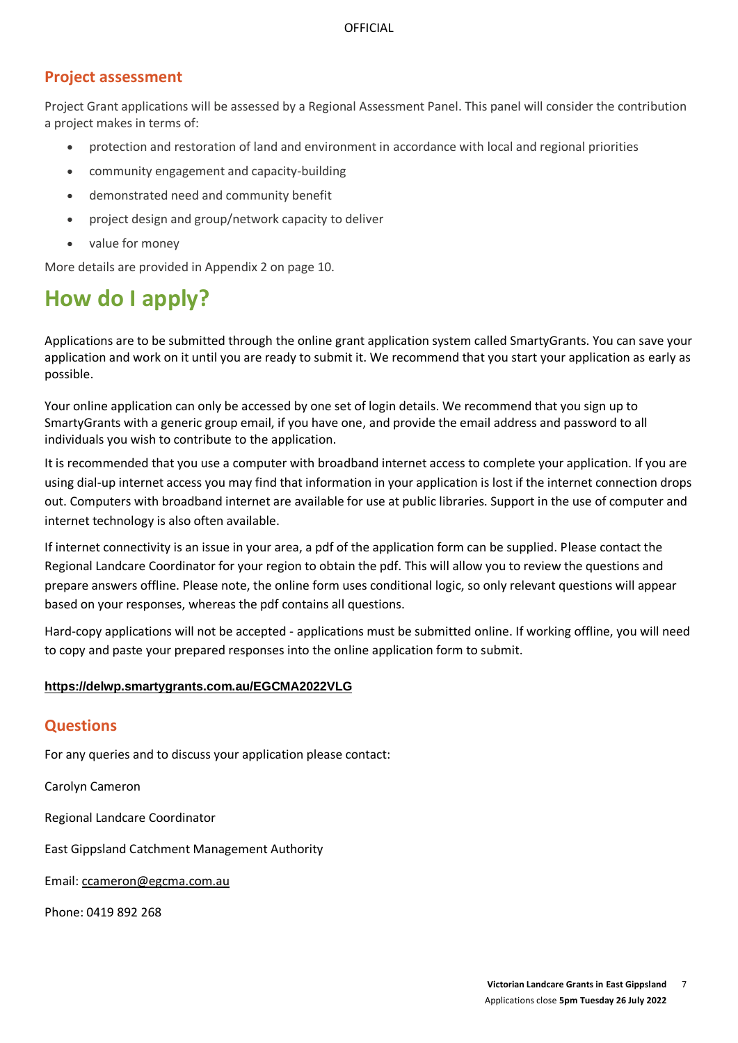#### **Project assessment**

Project Grant applications will be assessed by a Regional Assessment Panel. This panel will consider the contribution a project makes in terms of:

- protection and restoration of land and environment in accordance with local and regional priorities
- community engagement and capacity-building
- demonstrated need and community benefit
- project design and group/network capacity to deliver
- value for money

More details are provided in Appendix 2 on page 10.

# **How do I apply?**

Applications are to be submitted through the online grant application system called SmartyGrants. You can save your application and work on it until you are ready to submit it. We recommend that you start your application as early as possible.

Your online application can only be accessed by one set of login details. We recommend that you sign up to SmartyGrants with a generic group email, if you have one, and provide the email address and password to all individuals you wish to contribute to the application.

It is recommended that you use a computer with broadband internet access to complete your application. If you are using dial-up internet access you may find that information in your application is lost if the internet connection drops out. Computers with broadband internet are available for use at public libraries. Support in the use of computer and internet technology is also often available.

If internet connectivity is an issue in your area, a pdf of the application form can be supplied. Please contact the Regional Landcare Coordinator for your region to obtain the pdf. This will allow you to review the questions and prepare answers offline. Please note, the online form uses conditional logic, so only relevant questions will appear based on your responses, whereas the pdf contains all questions.

Hard-copy applications will not be accepted - applications must be submitted online. If working offline, you will need to copy and paste your prepared responses into the online application form to submit.

#### **<https://delwp.smartygrants.com.au/EGCMA2022VLG>**

#### **Questions**

For any queries and to discuss your application please contact:

Carolyn Cameron

Regional Landcare Coordinator

East Gippsland Catchment Management Authority

Email: [ccameron@egcma.com.au](mailto:ccameron@egcma.com.au)

Phone: 0419 892 268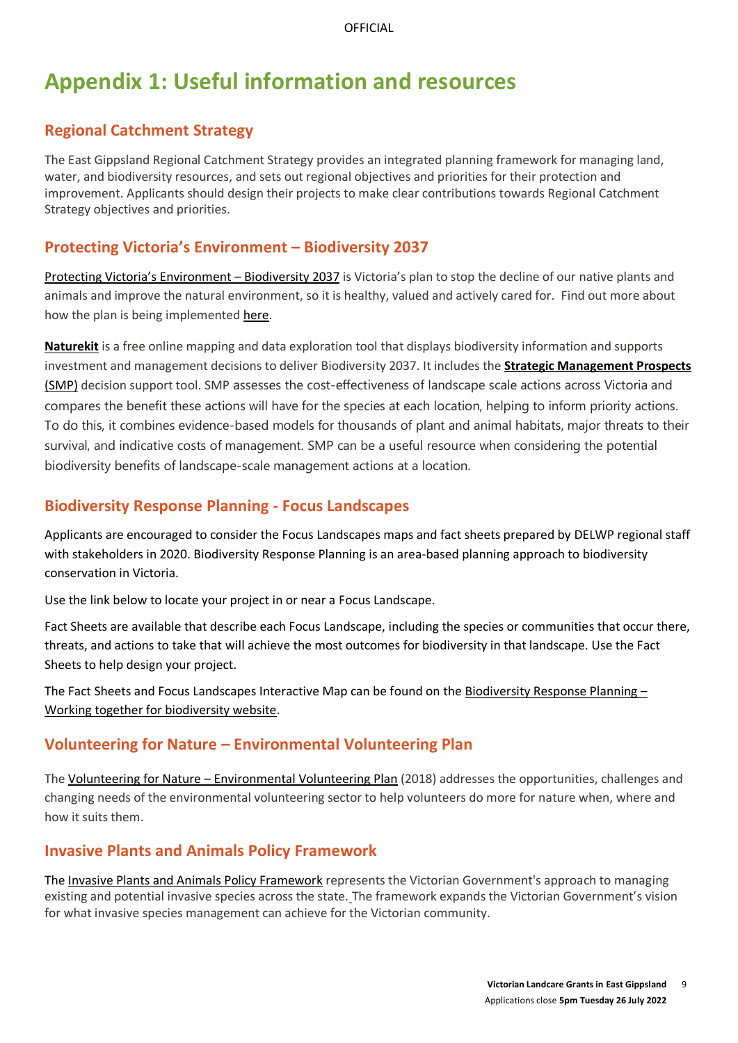# **Appendix 1: Useful information and resources**

# **Regional Catchment Strategy**

The East Gippsland Regional Catchment Strategy provides an integrated planning framework for managing land, water, and biodiversity resources, and sets out regional objectives and priorities for their protection and improvement. Applicants should design their projects to make clear contributions towards Regional Catchment Strategy objectives and priorities.

## **[Protecting Victoria's Envir](https://www.environment.vic.gov.au/biodiversity/biodiversity-plan)onment – Biodiversity 2037**

[Protecting Victoria's Environment –](http://www.environment.vic.gov.au/biodiversity/biodiversity-plan) Biodiversity 2037 is Victoria's plan to stop the decline of our native plants and animals and improve the natural environment, so it is healthy, valued and actively cared for. Find out more about how the plan is being implemented [here.](https://www.environment.vic.gov.au/biodiversity/Implementing-Biodiversity-2037)

**[Naturekit](https://www.environment.vic.gov.au/biodiversity/naturekit)** is a free online mapping and data exploration tool that displays biodiversity information and supports investment and management decisions to deliver Biodiversity 2037. It includes the **[Strategic Management Prospects](https://www.environment.vic.gov.au/biodiversity/natureprint)**  [\(SMP\)](https://www.environment.vic.gov.au/biodiversity/natureprint) decision support tool. SMP assesses the cost-effectiveness of landscape scale actions across Victoria and compares the benefit these actions will have for the species at each location, helping to inform priority actions. To do this, it combines evidence-based models for thousands of plant and animal habitats, major threats to their survival, and indicative costs of management. SMP can be a useful resource when considering the potential biodiversity benefits of landscape-scale management actions at a location.

## **Biodiversity Response Planning - Focus Landscapes**

Applicants are encouraged to consider the Focus Landscapes maps and fact sheets prepared by DELWP regional staff with stakeholders in 2020. Biodiversity Response Planning is an area-based planning approach to biodiversity conservation in Victoria.

Use the link below to locate your project in or near a Focus Landscape.

Fact Sheets are available that describe each Focus Landscape, including the species or communities that occur there, threats, and actions to take that will achieve the most outcomes for biodiversity in that landscape. Use the Fact Sheets to help design your project.

The Fact Sheets and Focus Landscapes Interactive Map can be found on the [Biodiversity Response Planning](https://www.environment.vic.gov.au/biodiversity/working-together-for-biodiversity)  $-$ [Working together for biodiversity website.](https://www.environment.vic.gov.au/biodiversity/working-together-for-biodiversity)

## **Volunteering for Nature – Environmental Volunteering Plan**

The Volunteering for Nature – [Environmental Volunteering Plan](https://www.environment.vic.gov.au/environmental-volunteering/volunteering) (2018) addresses the opportunities, challenges and changing needs of the environmental volunteering sector to help volunteers do more for nature when, where and how it suits them.

## **Invasive Plants and Animals Policy Framework**

The [Invasive Plants and Animals Policy Framework](https://agriculture.vic.gov.au/biosecurity/protecting-victoria/legislation-policy-and-permits/invasive-plants-and-animals-policy-framework) represents the Victorian Government's approach to managing existing and potential invasive species across the state. The framework expands the Victorian Government's vision for what invasive species management can achieve for the Victorian community.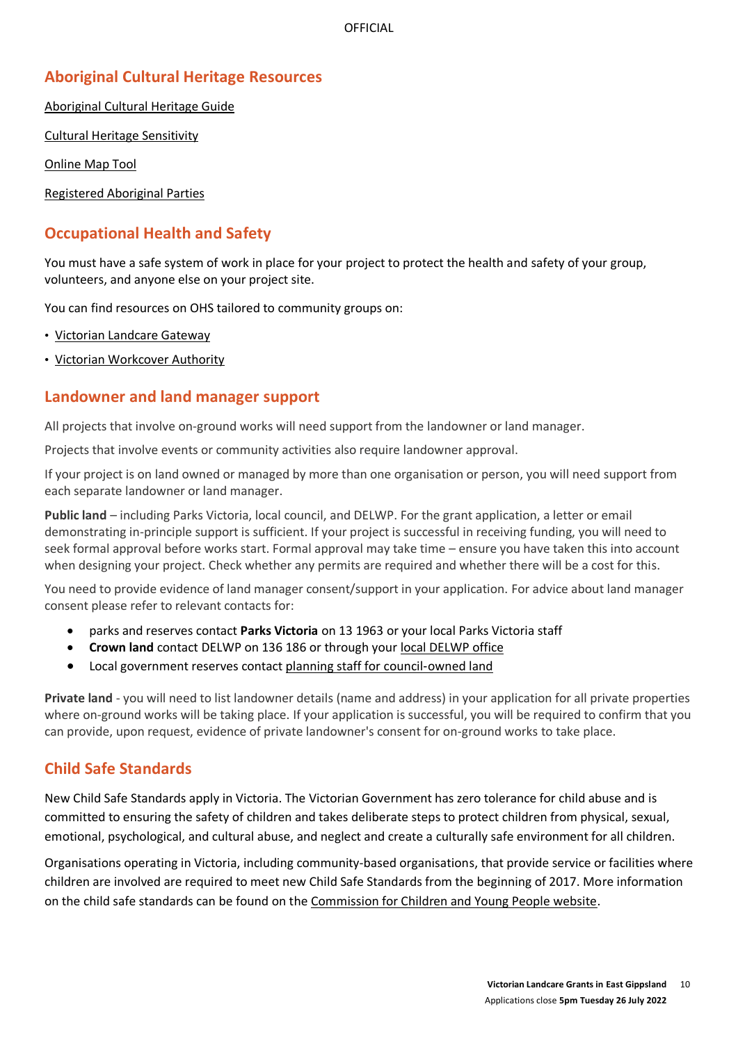## **Aboriginal Cultural Heritage Resources**

[Aboriginal Cultural Heritage Guide](http://www.landcarevic.org.au/assets/Uploads/Aboriginal-Cultural-Heritage-Guide-FINAL-Jan2020-Online.pdf)

[Cultural Heritage Sensitivity](http://www.aboriginalvictoria.vic.gov.au/cultural-heritage-sensitivity)

[Online Map Tool](https://achris.vic.gov.au/#/dashboard)

[Registered Aboriginal Parties](http://www.aboriginalheritagecouncil.vic.gov.au/victorias-current-registered-aboriginal-parties)

### **Occupational Health and Safety**

You must have a safe system of work in place for your project to protect the health and safety of your group, volunteers, and anyone else on your project site.

You can find resources on OHS tailored to community groups on:

- [Victorian Landcare Gateway](http://www.landcarevic.org.au/resources/health-and-safety/)
- [Victorian Workcover Authority](https://www.worksafe.vic.gov.au/)

#### **Landowner and land manager support**

All projects that involve on-ground works will need support from the landowner or land manager.

Projects that involve events or community activities also require landowner approval.

If your project is on land owned or managed by more than one organisation or person, you will need support from each separate landowner or land manager.

**Public land** – including Parks Victoria, local council, and DELWP. For the grant application, a letter or email demonstrating in-principle support is sufficient. If your project is successful in receiving funding, you will need to seek formal approval before works start. Formal approval may take time – ensure you have taken this into account when designing your project. Check whether any permits are required and whether there will be a cost for this.

You need to provide evidence of land manager consent/support in your application. For advice about land manager consent please refer to relevant contacts for:

- parks and reserves contact **Parks Victoria** on 13 1963 or your local Parks Victoria staff
- **Crown land** contact DELWP on 136 186 or through your [local DELWP](file:///C:/Users/ed0N/AppData/Local/Microsoft/Windows/INetCache/Content.Outlook/V2GQZPR2/www2.delwp.vic.gov.au/communities-and-regions/regions-and-locations) office
- Local government reserves contact [planning staff for council](http://www.knowyourcouncil.vic.gov.au/)-owned land

**Private land** - you will need to list landowner details (name and address) in your application for all private properties where on-ground works will be taking place. If your application is successful, you will be required to confirm that you can provide, upon request, evidence of private landowner's consent for on-ground works to take place.

#### **Child Safe Standards**

New Child Safe Standards apply in Victoria. The Victorian Government has zero tolerance for child abuse and is committed to ensuring the safety of children and takes deliberate steps to protect children from physical, sexual, emotional, psychological, and cultural abuse, and neglect and create a culturally safe environment for all children.

Organisations operating in Victoria, including community‐based organisations, that provide service or facilities where children are involved are required to meet new Child Safe Standards from the beginning of 2017. More information on the child safe standards can be found on the [Commission for Children and Young People website.](https://ccyp.vic.gov.au/child-safety/being-a-child-safe-organisation/the-child-safe-standards/)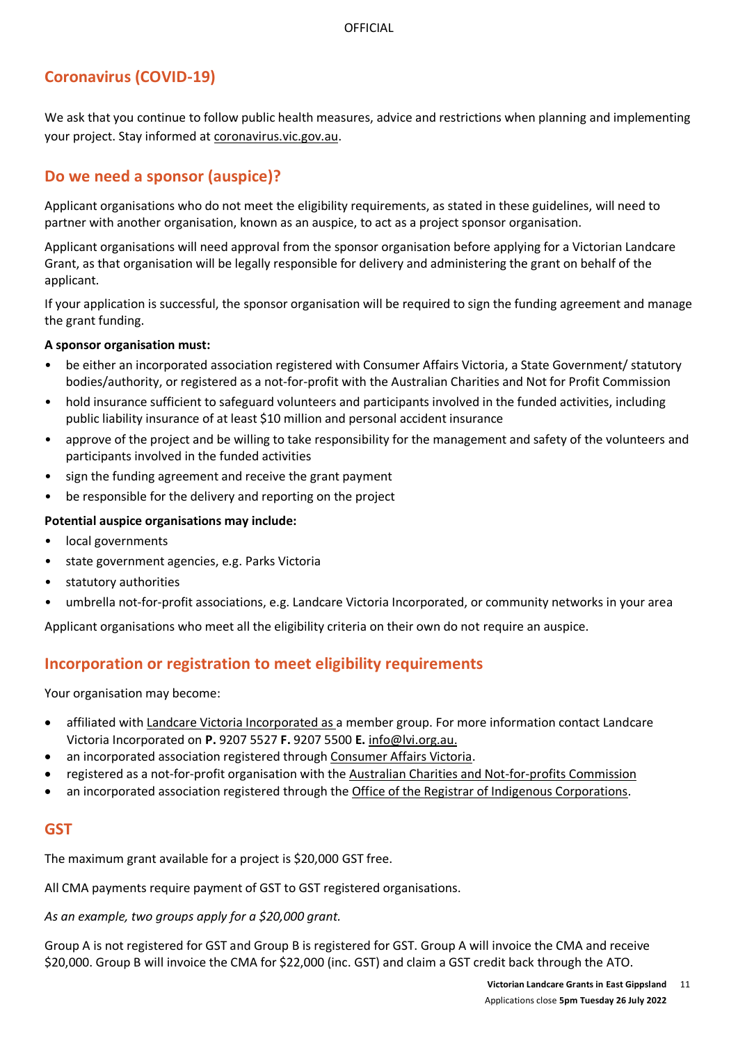# **Coronavirus (COVID-19)**

We ask that you continue to follow public health measures, advice and restrictions when planning and implementing your project. Stay informed at [coronavirus.vic.gov.au.](http://coronavirus.vic.gov.au/)

# **Do we need a sponsor (auspice)?**

Applicant organisations who do not meet the eligibility requirements, as stated in these guidelines, will need to partner with another organisation, known as an auspice, to act as a project sponsor organisation.

Applicant organisations will need approval from the sponsor organisation before applying for a Victorian Landcare Grant, as that organisation will be legally responsible for delivery and administering the grant on behalf of the applicant.

If your application is successful, the sponsor organisation will be required to sign the funding agreement and manage the grant funding.

#### **A sponsor organisation must:**

- be either an incorporated association registered with Consumer Affairs Victoria, a State Government/ statutory bodies/authority, or registered as a not-for-profit with the Australian Charities and Not for Profit Commission
- hold insurance sufficient to safeguard volunteers and participants involved in the funded activities, including public liability insurance of at least \$10 million and personal accident insurance
- approve of the project and be willing to take responsibility for the management and safety of the volunteers and participants involved in the funded activities
- sign the funding agreement and receive the grant payment
- be responsible for the delivery and reporting on the project

#### **Potential auspice organisations may include:**

- local governments
- state government agencies, e.g. Parks Victoria
- statutory authorities
- umbrella not-for-profit associations, e.g. Landcare Victoria Incorporated, or community networks in your area

Applicant organisations who meet all the eligibility criteria on their own do not require an auspice.

#### **Incorporation or registration to meet eligibility requirements**

Your organisation may become:

- affiliated with [Landcare Victoria Incorporated](http://www.lvi.org.au/) as a member group. For more information contact Landcare Victoria Incorporated on **P.** 9207 5527 **F.** 9207 5500 **E.** [info@lvi.org.au.](mailto:info@lvi.org.au)
- an incorporated association registered through [Consumer Affairs Victoria.](http://www.consumer.vic.gov.au/clubs-and-fundraising/incorporated-associations)
- registered as a not-for-profit organisation with the [Australian Charities and Not-for-profits Commission](https://www.acnc.gov.au/)
- an incorporated association registered through the [Office of the Registrar of Indigenous Corporations.](https://www.oric.gov.au/start-corporation/registration-options)

#### **GST**

The maximum grant available for a project is \$20,000 GST free.

All CMA payments require payment of GST to GST registered organisations.

*As an example, two groups apply for a \$20,000 grant.*

Group A is not registered for GST and Group B is registered for GST. Group A will invoice the CMA and receive \$20,000. Group B will invoice the CMA for \$22,000 (inc. GST) and claim a GST credit back through the ATO.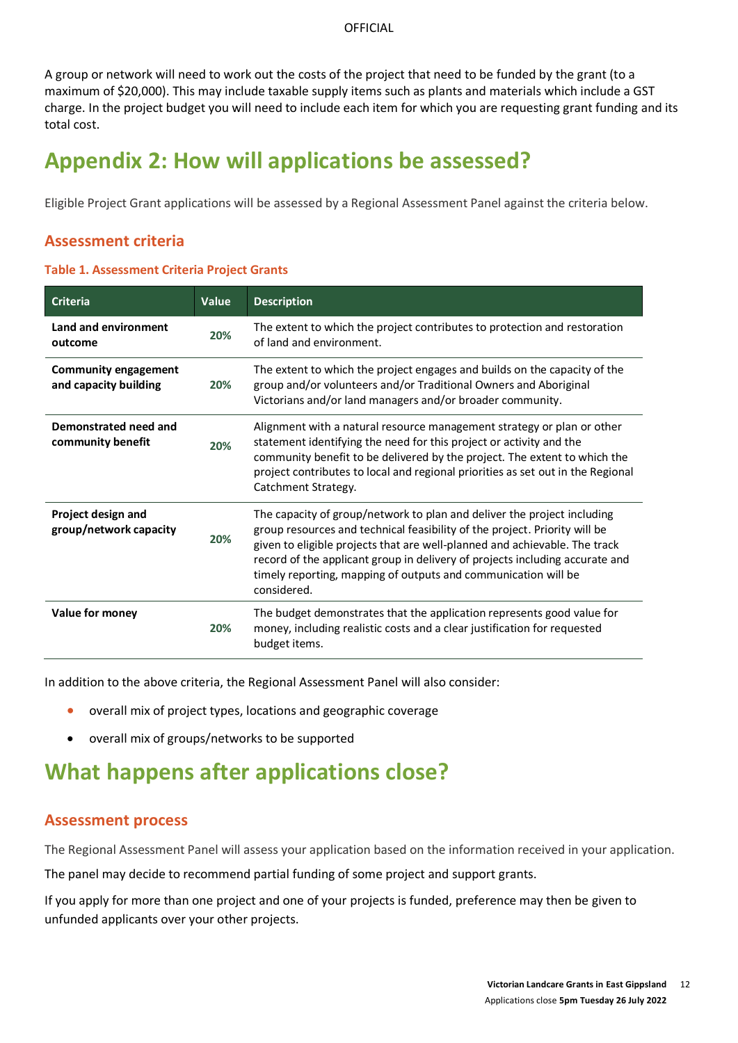A group or network will need to work out the costs of the project that need to be funded by the grant (to a maximum of \$20,000). This may include taxable supply items such as plants and materials which include a GST charge. In the project budget you will need to include each item for which you are requesting grant funding and its total cost.

# **Appendix 2: How will applications be assessed?**

Eligible Project Grant applications will be assessed by a Regional Assessment Panel against the criteria below.

#### **Assessment criteria**

#### **Table 1. Assessment Criteria Project Grants**

| <b>Criteria</b>                                      | Value | <b>Description</b>                                                                                                                                                                                                                                                                                                                                                                                   |
|------------------------------------------------------|-------|------------------------------------------------------------------------------------------------------------------------------------------------------------------------------------------------------------------------------------------------------------------------------------------------------------------------------------------------------------------------------------------------------|
| Land and environment<br>outcome                      | 20%   | The extent to which the project contributes to protection and restoration<br>of land and environment.                                                                                                                                                                                                                                                                                                |
| <b>Community engagement</b><br>and capacity building | 20%   | The extent to which the project engages and builds on the capacity of the<br>group and/or volunteers and/or Traditional Owners and Aboriginal<br>Victorians and/or land managers and/or broader community.                                                                                                                                                                                           |
| Demonstrated need and<br>community benefit           | 20%   | Alignment with a natural resource management strategy or plan or other<br>statement identifying the need for this project or activity and the<br>community benefit to be delivered by the project. The extent to which the<br>project contributes to local and regional priorities as set out in the Regional<br>Catchment Strategy.                                                                 |
| Project design and<br>group/network capacity         | 20%   | The capacity of group/network to plan and deliver the project including<br>group resources and technical feasibility of the project. Priority will be<br>given to eligible projects that are well-planned and achievable. The track<br>record of the applicant group in delivery of projects including accurate and<br>timely reporting, mapping of outputs and communication will be<br>considered. |
| Value for money                                      | 20%   | The budget demonstrates that the application represents good value for<br>money, including realistic costs and a clear justification for requested<br>budget items.                                                                                                                                                                                                                                  |

In addition to the above criteria, the Regional Assessment Panel will also consider:

- overall mix of project types, locations and geographic coverage
- overall mix of groups/networks to be supported

# **What happens after applications close?**

#### **Assessment process**

The Regional Assessment Panel will assess your application based on the information received in your application.

The panel may decide to recommend partial funding of some project and support grants.

If you apply for more than one project and one of your projects is funded, preference may then be given to unfunded applicants over your other projects.